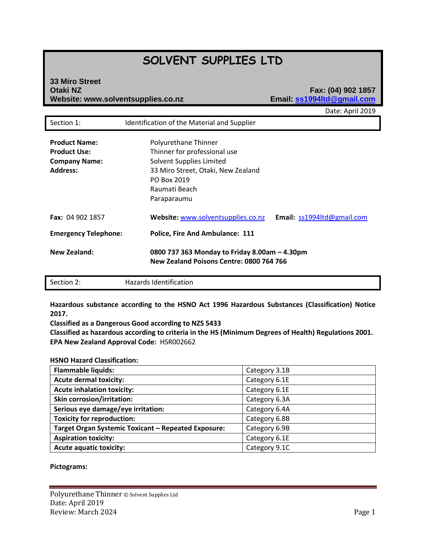# **SOLVENT SUPPLIES LTD**

# **33 Miro Street Otaki NZ Fax: (04) 902 1857 Website: www.solventsupplies.co.nz Email: ss1994ltd@gmail.com**

Date: April 2019

|                                                                                        |                                                                                                                                                                       | Dale. April 2015                                                                          |  |
|----------------------------------------------------------------------------------------|-----------------------------------------------------------------------------------------------------------------------------------------------------------------------|-------------------------------------------------------------------------------------------|--|
| Section 1:                                                                             | Identification of the Material and Supplier                                                                                                                           |                                                                                           |  |
| <b>Product Name:</b><br><b>Product Use:</b><br><b>Company Name:</b><br><b>Address:</b> | Polyurethane Thinner<br>Thinner for professional use<br>Solvent Supplies Limited<br>33 Miro Street, Otaki, New Zealand<br>PO Box 2019<br>Raumati Beach<br>Paraparaumu |                                                                                           |  |
| <b>Fax: 04 902 1857</b>                                                                | Website: www.solventsupplies.co.nz                                                                                                                                    | Email: ss1994ltd@gmail.com                                                                |  |
| <b>Emergency Telephone:</b>                                                            | <b>Police, Fire And Ambulance: 111</b>                                                                                                                                |                                                                                           |  |
| New Zealand:                                                                           |                                                                                                                                                                       | 0800 737 363 Monday to Friday 8.00am - 4.30pm<br>New Zealand Poisons Centre: 0800 764 766 |  |

| Section 2: | Hazards Identification |  |
|------------|------------------------|--|
|------------|------------------------|--|

**Hazardous substance according to the HSNO Act 1996 Hazardous Substances (Classification) Notice 2017.** 

**Classified as a Dangerous Good according to NZS 5433** 

**Classified as hazardous according to criteria in the HS (Minimum Degrees of Health) Regulations 2001. EPA New Zealand Approval Code:** HSR002662

# **HSNO Hazard Classification:**

| <b>Flammable liquids:</b>                           | Category 3.1B |
|-----------------------------------------------------|---------------|
| <b>Acute dermal toxicity:</b>                       | Category 6.1E |
| <b>Acute inhalation toxicity:</b>                   | Category 6.1E |
| <b>Skin corrosion/irritation:</b>                   | Category 6.3A |
| Serious eye damage/eye irritation:                  | Category 6.4A |
| <b>Toxicity for reproduction:</b>                   | Category 6.8B |
| Target Organ Systemic Toxicant - Repeated Exposure: | Category 6.9B |
| <b>Aspiration toxicity:</b>                         | Category 6.1E |
| <b>Acute aquatic toxicity:</b>                      | Category 9.1C |

# **Pictograms:**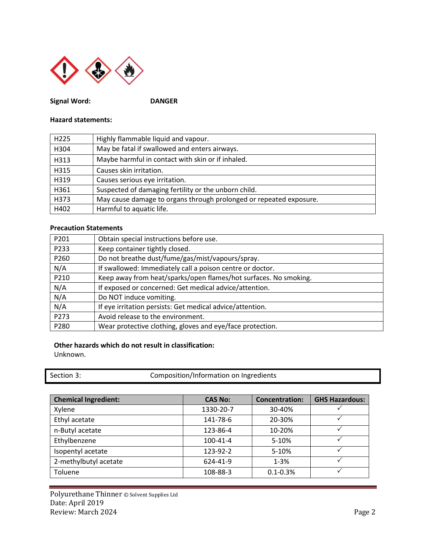

**Signal Word: DANGER** 

# **Hazard statements:**

| H <sub>225</sub> | Highly flammable liquid and vapour.                                |
|------------------|--------------------------------------------------------------------|
| H304             | May be fatal if swallowed and enters airways.                      |
| H313             | Maybe harmful in contact with skin or if inhaled.                  |
| H315             | Causes skin irritation.                                            |
| H319             | Causes serious eye irritation.                                     |
| H361             | Suspected of damaging fertility or the unborn child.               |
| H373             | May cause damage to organs through prolonged or repeated exposure. |
| H402             | Harmful to aquatic life.                                           |

# **Precaution Statements**

| P201 | Obtain special instructions before use.                          |
|------|------------------------------------------------------------------|
| P233 | Keep container tightly closed.                                   |
| P260 | Do not breathe dust/fume/gas/mist/vapours/spray.                 |
| N/A  | If swallowed: Immediately call a poison centre or doctor.        |
| P210 | Keep away from heat/sparks/open flames/hot surfaces. No smoking. |
| N/A  | If exposed or concerned: Get medical advice/attention.           |
| N/A  | Do NOT induce vomiting.                                          |
| N/A  | If eye irritation persists: Get medical advice/attention.        |
| P273 | Avoid release to the environment.                                |
| P280 | Wear protective clothing, gloves and eye/face protection.        |

# **Other hazards which do not result in classification:**

Unknown.

| Section 3: | Composition/Information on Ingredients |  |
|------------|----------------------------------------|--|
|------------|----------------------------------------|--|

| <b>Chemical Ingredient:</b> | <b>CAS No:</b> | <b>Concentration:</b> | <b>GHS Hazardous:</b> |
|-----------------------------|----------------|-----------------------|-----------------------|
| Xylene                      | 1330-20-7      | 30-40%                |                       |
| Ethyl acetate               | 141-78-6       | 20-30%                |                       |
| n-Butyl acetate             | 123-86-4       | 10-20%                |                       |
| Ethylbenzene                | 100-41-4       | 5-10%                 |                       |
| Isopentyl acetate           | 123-92-2       | 5-10%                 |                       |
| 2-methylbutyl acetate       | 624-41-9       | $1 - 3%$              |                       |
| Toluene                     | 108-88-3       | $0.1 - 0.3%$          |                       |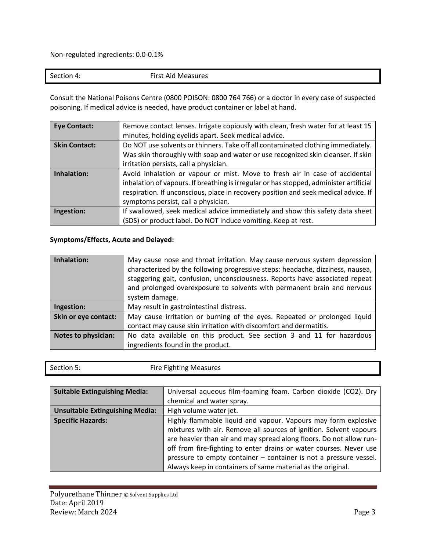Non-regulated ingredients: 0.0-0.1%

Consult the National Poisons Centre (0800 POISON: 0800 764 766) or a doctor in every case of suspected poisoning. If medical advice is needed, have product container or label at hand.

| <b>Eye Contact:</b>  | Remove contact lenses. Irrigate copiously with clean, fresh water for at least 15      |
|----------------------|----------------------------------------------------------------------------------------|
|                      | minutes, holding eyelids apart. Seek medical advice.                                   |
| <b>Skin Contact:</b> | Do NOT use solvents or thinners. Take off all contaminated clothing immediately.       |
|                      | Was skin thoroughly with soap and water or use recognized skin cleanser. If skin       |
|                      | irritation persists, call a physician.                                                 |
| Inhalation:          | Avoid inhalation or vapour or mist. Move to fresh air in case of accidental            |
|                      | inhalation of vapours. If breathing is irregular or has stopped, administer artificial |
|                      | respiration. If unconscious, place in recovery position and seek medical advice. If    |
|                      | symptoms persist, call a physician.                                                    |
| Ingestion:           | If swallowed, seek medical advice immediately and show this safety data sheet          |
|                      | (SDS) or product label. Do NOT induce vomiting. Keep at rest.                          |

# **Symptoms/Effects, Acute and Delayed:**

| Inhalation:                | May cause nose and throat irritation. May cause nervous system depression<br>characterized by the following progressive steps: headache, dizziness, nausea,<br>staggering gait, confusion, unconsciousness. Reports have associated repeat<br>and prolonged overexposure to solvents with permanent brain and nervous<br>system damage. |
|----------------------------|-----------------------------------------------------------------------------------------------------------------------------------------------------------------------------------------------------------------------------------------------------------------------------------------------------------------------------------------|
| Ingestion:                 | May result in gastrointestinal distress.                                                                                                                                                                                                                                                                                                |
| Skin or eye contact:       | May cause irritation or burning of the eyes. Repeated or prolonged liquid<br>contact may cause skin irritation with discomfort and dermatitis.                                                                                                                                                                                          |
| <b>Notes to physician:</b> | No data available on this product. See section 3 and 11 for hazardous<br>ingredients found in the product.                                                                                                                                                                                                                              |

| Section 5: | <b>Fire Fighting Measures</b> |
|------------|-------------------------------|
|            |                               |

| <b>Suitable Extinguishing Media:</b>   | Universal aqueous film-foaming foam. Carbon dioxide (CO2). Dry      |
|----------------------------------------|---------------------------------------------------------------------|
|                                        | chemical and water spray.                                           |
| <b>Unsuitable Extinguishing Media:</b> | High volume water jet.                                              |
| <b>Specific Hazards:</b>               | Highly flammable liquid and vapour. Vapours may form explosive      |
|                                        | mixtures with air. Remove all sources of ignition. Solvent vapours  |
|                                        | are heavier than air and may spread along floors. Do not allow run- |
|                                        | off from fire-fighting to enter drains or water courses. Never use  |
|                                        | pressure to empty container – container is not a pressure vessel.   |
|                                        | Always keep in containers of same material as the original.         |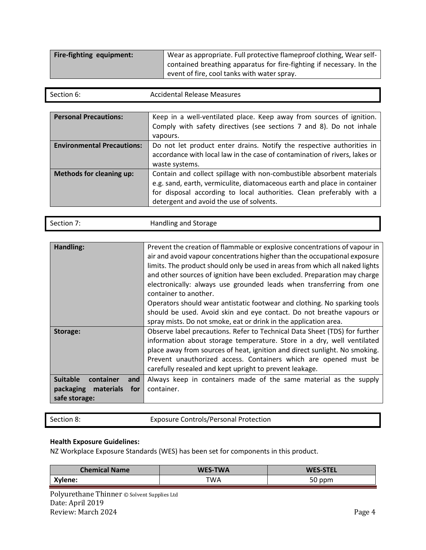| Fire-fighting equipment: | Wear as appropriate. Full protective flameproof clothing, Wear self- |  |
|--------------------------|----------------------------------------------------------------------|--|
|                          | contained breathing apparatus for fire-fighting if necessary. In the |  |
|                          | event of fire, cool tanks with water spray.                          |  |

| Section 6: | <b>Accidental Release Measures</b> |
|------------|------------------------------------|
|            |                                    |

| <b>Personal Precautions:</b>      | Keep in a well-ventilated place. Keep away from sources of ignition.<br>Comply with safety directives (see sections 7 and 8). Do not inhale<br>vapours.                                                                                                               |
|-----------------------------------|-----------------------------------------------------------------------------------------------------------------------------------------------------------------------------------------------------------------------------------------------------------------------|
| <b>Environmental Precautions:</b> | Do not let product enter drains. Notify the respective authorities in<br>accordance with local law in the case of contamination of rivers, lakes or<br>waste systems.                                                                                                 |
| <b>Methods for cleaning up:</b>   | Contain and collect spillage with non-combustible absorbent materials<br>e.g. sand, earth, vermiculite, diatomaceous earth and place in container<br>for disposal according to local authorities. Clean preferably with a<br>detergent and avoid the use of solvents. |

| Section 7. | Handling and Storage |  |
|------------|----------------------|--|
|            |                      |  |
|            |                      |  |

| Handling:                           | Prevent the creation of flammable or explosive concentrations of vapour in   |  |  |
|-------------------------------------|------------------------------------------------------------------------------|--|--|
|                                     | air and avoid vapour concentrations higher than the occupational exposure    |  |  |
|                                     | limits. The product should only be used in areas from which all naked lights |  |  |
|                                     | and other sources of ignition have been excluded. Preparation may charge     |  |  |
|                                     | electronically: always use grounded leads when transferring from one         |  |  |
|                                     | container to another.                                                        |  |  |
|                                     | Operators should wear antistatic footwear and clothing. No sparking tools    |  |  |
|                                     | should be used. Avoid skin and eye contact. Do not breathe vapours or        |  |  |
|                                     | spray mists. Do not smoke, eat or drink in the application area.             |  |  |
| Storage:                            | Observe label precautions. Refer to Technical Data Sheet (TDS) for further   |  |  |
|                                     | information about storage temperature. Store in a dry, well ventilated       |  |  |
|                                     | place away from sources of heat, ignition and direct sunlight. No smoking.   |  |  |
|                                     | Prevent unauthorized access. Containers which are opened must be             |  |  |
|                                     | carefully resealed and kept upright to prevent leakage.                      |  |  |
| <b>Suitable</b><br>container<br>and | Always keep in containers made of the same material as the supply            |  |  |
| packaging<br>materials<br>for       | container.                                                                   |  |  |
| safe storage:                       |                                                                              |  |  |

Section 8: Exposure Controls/Personal Protection

# **Health Exposure Guidelines:**

NZ Workplace Exposure Standards (WES) has been set for components in this product.

| <b>Chemical Name</b> | <b>WES-TWA</b> | <b>WES-STEL</b> |
|----------------------|----------------|-----------------|
| Xylene:              | TWA            | 50 ppm          |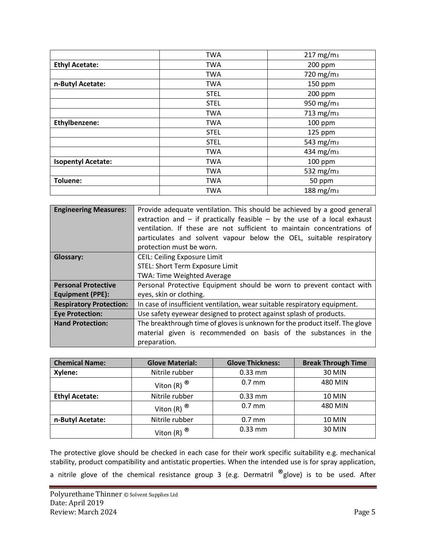|                           | <b>TWA</b>  | $217$ mg/m <sub>3</sub> |
|---------------------------|-------------|-------------------------|
| <b>Ethyl Acetate:</b>     | <b>TWA</b>  | 200 ppm                 |
|                           | <b>TWA</b>  | 720 mg/m <sub>3</sub>   |
| n-Butyl Acetate:          | <b>TWA</b>  | 150 ppm                 |
|                           | <b>STEL</b> | 200 ppm                 |
|                           | <b>STEL</b> | 950 mg/m <sub>3</sub>   |
|                           | <b>TWA</b>  | 713 mg/m <sub>3</sub>   |
| Ethylbenzene:             | <b>TWA</b>  | 100 ppm                 |
|                           | <b>STEL</b> | 125 ppm                 |
|                           | <b>STEL</b> | 543 mg/m <sub>3</sub>   |
|                           | <b>TWA</b>  | 434 mg/m <sub>3</sub>   |
| <b>Isopentyl Acetate:</b> | <b>TWA</b>  | 100 ppm                 |
|                           | <b>TWA</b>  | 532 mg/m <sub>3</sub>   |
| <b>Toluene:</b>           | <b>TWA</b>  | 50 ppm                  |
|                           | <b>TWA</b>  | 188 mg/m <sub>3</sub>   |

| <b>Engineering Measures:</b>   | Provide adequate ventilation. This should be achieved by a good general<br>extraction and $-$ if practically feasible $-$ by the use of a local exhaust<br>ventilation. If these are not sufficient to maintain concentrations of<br>particulates and solvent vapour below the OEL, suitable respiratory<br>protection must be worn. |
|--------------------------------|--------------------------------------------------------------------------------------------------------------------------------------------------------------------------------------------------------------------------------------------------------------------------------------------------------------------------------------|
| Glossary:                      | <b>CEIL: Ceiling Exposure Limit</b>                                                                                                                                                                                                                                                                                                  |
|                                | STEL: Short Term Exposure Limit                                                                                                                                                                                                                                                                                                      |
|                                | <b>TWA: Time Weighted Average</b>                                                                                                                                                                                                                                                                                                    |
| <b>Personal Protective</b>     | Personal Protective Equipment should be worn to prevent contact with                                                                                                                                                                                                                                                                 |
| <b>Equipment (PPE):</b>        | eyes, skin or clothing.                                                                                                                                                                                                                                                                                                              |
| <b>Respiratory Protection:</b> | In case of insufficient ventilation, wear suitable respiratory equipment.                                                                                                                                                                                                                                                            |
| <b>Eye Protection:</b>         | Use safety eyewear designed to protect against splash of products.                                                                                                                                                                                                                                                                   |
| <b>Hand Protection:</b>        | The breakthrough time of gloves is unknown for the product itself. The glove                                                                                                                                                                                                                                                         |
|                                | material given is recommended on basis of the substances in the                                                                                                                                                                                                                                                                      |
|                                | preparation.                                                                                                                                                                                                                                                                                                                         |

| <b>Chemical Name:</b> | <b>Glove Material:</b>   | <b>Glove Thickness:</b> | <b>Break Through Time</b> |
|-----------------------|--------------------------|-------------------------|---------------------------|
| Xylene:               | Nitrile rubber           | $0.33$ mm               | 30 MIN                    |
|                       | Viton (R) $^{\circledR}$ | $0.7$ mm                | 480 MIN                   |
| <b>Ethyl Acetate:</b> | Nitrile rubber           | $0.33$ mm               | <b>10 MIN</b>             |
|                       | Viton (R) $^{\circledR}$ | $0.7$ mm                | 480 MIN                   |
| n-Butyl Acetate:      | Nitrile rubber           | $0.7$ mm                | <b>10 MIN</b>             |
|                       | Viton (R) ®              | $0.33$ mm               | 30 MIN                    |

The protective glove should be checked in each case for their work specific suitability e.g. mechanical stability, product compatibility and antistatic properties. When the intended use is for spray application, a nitrile glove of the chemical resistance group 3 (e.g. Dermatril  $^{\circledR}$ glove) is to be used. After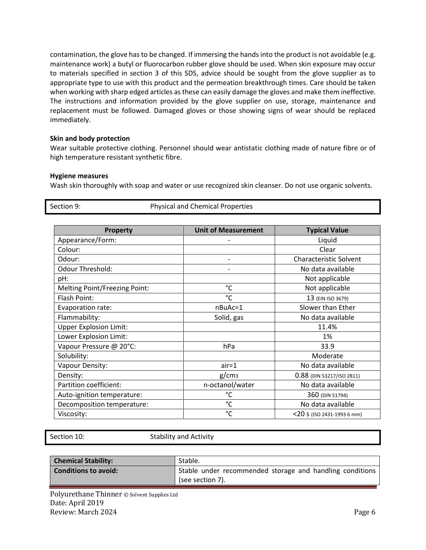contamination, the glove has to be changed. If immersing the hands into the product is not avoidable (e.g. maintenance work) a butyl or fluorocarbon rubber glove should be used. When skin exposure may occur to materials specified in section 3 of this SDS, advice should be sought from the glove supplier as to appropriate type to use with this product and the permeation breakthrough times. Care should be taken when working with sharp edged articles as these can easily damage the gloves and make them ineffective. The instructions and information provided by the glove supplier on use, storage, maintenance and replacement must be followed. Damaged gloves or those showing signs of wear should be replaced immediately.

# **Skin and body protection**

Wear suitable protective clothing. Personnel should wear antistatic clothing made of nature fibre or of high temperature resistant synthetic fibre.

# **Hygiene measures**

Wash skin thoroughly with soap and water or use recognized skin cleanser. Do not use organic solvents.

Section 9: Physical and Chemical Properties

| <b>Property</b>               | <b>Unit of Measurement</b> | <b>Typical Value</b>          |
|-------------------------------|----------------------------|-------------------------------|
| Appearance/Form:              |                            | Liquid                        |
| Colour:                       |                            | Clear                         |
| Odour:                        |                            | <b>Characteristic Solvent</b> |
| Odour Threshold:              |                            | No data available             |
| pH:                           |                            | Not applicable                |
| Melting Point/Freezing Point: | °C                         | Not applicable                |
| Flash Point:                  | $^{\circ}$ C               | 13 (EIN ISO 3679)             |
| Evaporation rate:             | nBuAc=1                    | Slower than Ether             |
| Flammability:                 | Solid, gas                 | No data available             |
| <b>Upper Explosion Limit:</b> |                            | 11.4%                         |
| Lower Explosion Limit:        |                            | 1%                            |
| Vapour Pressure @ 20°C:       | hPa                        | 33.9                          |
| Solubility:                   |                            | Moderate                      |
| Vapour Density:               | $air = 1$                  | No data available             |
| Density:                      | g/cm <sub>3</sub>          | 0.88 (DIN 53217/ISO 2811)     |
| Partition coefficient:        | n-octanol/water            | No data available             |
| Auto-ignition temperature:    | °C                         | 360 (DIN 51794)               |
| Decomposition temperature:    | $^{\circ}$ C               | No data available             |
| Viscosity:                    | $\rm ^{\circ}C$            | $<$ 20 S (ISO 2431-1993 6 mm) |

Section 10: Stability and Activity

| <b>Chemical Stability:</b>  | Stable.                                                                      |
|-----------------------------|------------------------------------------------------------------------------|
| <b>Conditions to avoid:</b> | Stable under recommended storage and handling conditions<br>(see section 7). |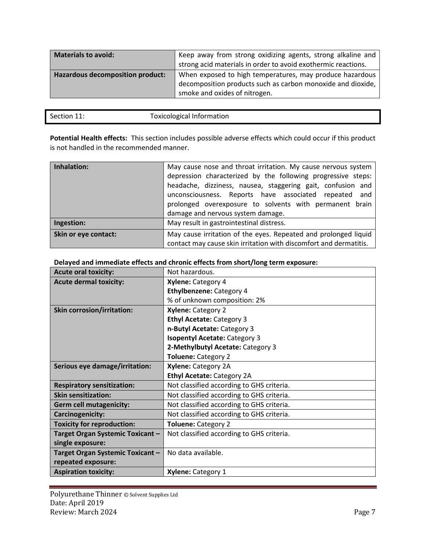| <b>Materials to avoid:</b>              | Keep away from strong oxidizing agents, strong alkaline and<br>strong acid materials in order to avoid exothermic reactions.                             |
|-----------------------------------------|----------------------------------------------------------------------------------------------------------------------------------------------------------|
| <b>Hazardous decomposition product:</b> | When exposed to high temperatures, may produce hazardous<br>decomposition products such as carbon monoxide and dioxide,<br>smoke and oxides of nitrogen. |

| Section 11: | <b>Toxicological Information</b> |
|-------------|----------------------------------|
|             |                                  |

**Potential Health effects:** This section includes possible adverse effects which could occur if this product is not handled in the recommended manner.

| Inhalation:          | May cause nose and throat irritation. My cause nervous system<br>depression characterized by the following progressive steps:<br>headache, dizziness, nausea, staggering gait, confusion and<br>unconsciousness. Reports have associated repeated and<br>prolonged overexposure to solvents with permanent brain<br>damage and nervous system damage. |
|----------------------|-------------------------------------------------------------------------------------------------------------------------------------------------------------------------------------------------------------------------------------------------------------------------------------------------------------------------------------------------------|
| Ingestion:           | May result in gastrointestinal distress.                                                                                                                                                                                                                                                                                                              |
| Skin or eye contact: | May cause irritation of the eyes. Repeated and prolonged liquid<br>contact may cause skin irritation with discomfort and dermatitis.                                                                                                                                                                                                                  |

# **Delayed and immediate effects and chronic effects from short/long term exposure:**

| <b>Acute oral toxicity:</b>       | Not hazardous.                            |  |
|-----------------------------------|-------------------------------------------|--|
| <b>Acute dermal toxicity:</b>     | <b>Xylene: Category 4</b>                 |  |
|                                   | <b>Ethylbenzene: Category 4</b>           |  |
|                                   | % of unknown composition: 2%              |  |
| <b>Skin corrosion/irritation:</b> | Xylene: Category 2                        |  |
|                                   | <b>Ethyl Acetate: Category 3</b>          |  |
|                                   | n-Butyl Acetate: Category 3               |  |
|                                   | <b>Isopentyl Acetate: Category 3</b>      |  |
|                                   | 2-Methylbutyl Acetate: Category 3         |  |
|                                   | <b>Toluene: Category 2</b>                |  |
| Serious eye damage/irritation:    | Xylene: Category 2A                       |  |
|                                   | <b>Ethyl Acetate: Category 2A</b>         |  |
| <b>Respiratory sensitization:</b> | Not classified according to GHS criteria. |  |
| <b>Skin sensitization:</b>        | Not classified according to GHS criteria. |  |
| <b>Germ cell mutagenicity:</b>    | Not classified according to GHS criteria. |  |
| Carcinogenicity:                  | Not classified according to GHS criteria. |  |
| <b>Toxicity for reproduction:</b> | <b>Toluene: Category 2</b>                |  |
| Target Organ Systemic Toxicant -  | Not classified according to GHS criteria. |  |
| single exposure:                  |                                           |  |
| Target Organ Systemic Toxicant -  | No data available.                        |  |
| repeated exposure:                |                                           |  |
| <b>Aspiration toxicity:</b>       | <b>Xylene: Category 1</b>                 |  |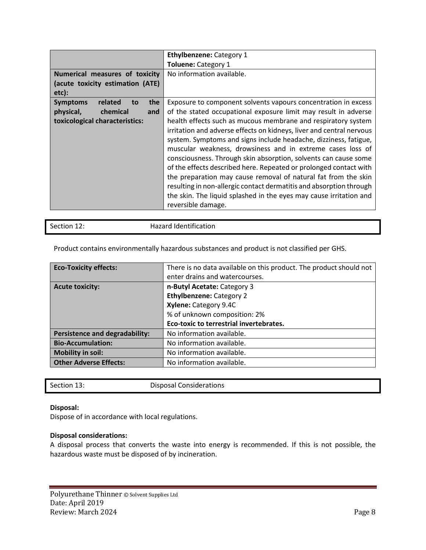|                                         | <b>Ethylbenzene: Category 1</b>                                      |
|-----------------------------------------|----------------------------------------------------------------------|
|                                         | <b>Toluene: Category 1</b>                                           |
| Numerical measures of toxicity          | No information available.                                            |
| (acute toxicity estimation (ATE)        |                                                                      |
| etc):                                   |                                                                      |
| related<br>the<br><b>Symptoms</b><br>to | Exposure to component solvents vapours concentration in excess       |
| physical,<br>chemical<br>and            | of the stated occupational exposure limit may result in adverse      |
| toxicological characteristics:          | health effects such as mucous membrane and respiratory system        |
|                                         | irritation and adverse effects on kidneys, liver and central nervous |
|                                         | system. Symptoms and signs include headache, dizziness, fatigue,     |
|                                         | muscular weakness, drowsiness and in extreme cases loss of           |
|                                         | consciousness. Through skin absorption, solvents can cause some      |
|                                         | of the effects described here. Repeated or prolonged contact with    |
|                                         | the preparation may cause removal of natural fat from the skin       |
|                                         | resulting in non-allergic contact dermatitis and absorption through  |
|                                         | the skin. The liquid splashed in the eyes may cause irritation and   |
|                                         | reversible damage.                                                   |

Section 12: Hazard Identification

| <b>Eco-Toxicity effects:</b>          | There is no data available on this product. The product should not |  |
|---------------------------------------|--------------------------------------------------------------------|--|
|                                       | enter drains and watercourses.                                     |  |
| <b>Acute toxicity:</b>                | n-Butyl Acetate: Category 3                                        |  |
|                                       | <b>Ethylbenzene: Category 2</b>                                    |  |
|                                       | Xylene: Category 9.4C                                              |  |
|                                       | % of unknown composition: 2%                                       |  |
|                                       | Eco-toxic to terrestrial invertebrates.                            |  |
| <b>Persistence and degradability:</b> | No information available.                                          |  |
| <b>Bio-Accumulation:</b>              | No information available.                                          |  |
| <b>Mobility in soil:</b>              | No information available.                                          |  |
| <b>Other Adverse Effects:</b>         | No information available.                                          |  |

Product contains environmentally hazardous substances and product is not classified per GHS.

Section 13: Disposal Considerations

# **Disposal:**

Dispose of in accordance with local regulations.

# **Disposal considerations:**

A disposal process that converts the waste into energy is recommended. If this is not possible, the hazardous waste must be disposed of by incineration.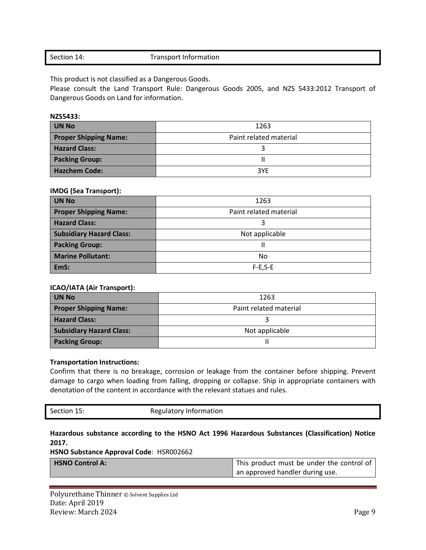# Section 14: Transport Information

This product is not classified as a Dangerous Goods.

Please consult the Land Transport Rule: Dangerous Goods 2005, and NZS 5433:2012 Transport of Dangerous Goods on Land for information.

**NZS5433:** 

| <b>UN No</b>                 | 1263                   |
|------------------------------|------------------------|
| <b>Proper Shipping Name:</b> | Paint related material |
| <b>Hazard Class:</b>         |                        |
| <b>Packing Group:</b>        |                        |
| <b>Hazchem Code:</b>         | 3YE                    |

# **IMDG (Sea Transport):**

| <b>UN No</b>                    | 1263                   |
|---------------------------------|------------------------|
| <b>Proper Shipping Name:</b>    | Paint related material |
| <b>Hazard Class:</b>            |                        |
| <b>Subsidiary Hazard Class:</b> | Not applicable         |
| <b>Packing Group:</b>           |                        |
| <b>Marine Pollutant:</b>        | No                     |
| EmS:                            | $F-E.S-E$              |

# **ICAO/IATA (Air Transport):**

| <b>UN No</b>                    | 1263                   |
|---------------------------------|------------------------|
| <b>Proper Shipping Name:</b>    | Paint related material |
| <b>Hazard Class:</b>            |                        |
| <b>Subsidiary Hazard Class:</b> | Not applicable         |
| <b>Packing Group:</b>           |                        |

# **Transportation Instructions:**

Confirm that there is no breakage, corrosion or leakage from the container before shipping. Prevent damage to cargo when loading from falling, dropping or collapse. Ship in appropriate containers with denotation of the content in accordance with the relevant statues and rules.

| Section 15: | Regulatory Information |
|-------------|------------------------|
|             |                        |
|             |                        |

# **Hazardous substance according to the HSNO Act 1996 Hazardous Substances (Classification) Notice 2017.**

**HSNO Substance Approval Code**: HSR002662

| <b>HSNO Control A:</b> | This product must be under the control of |
|------------------------|-------------------------------------------|
|                        | an approved handler during use.           |